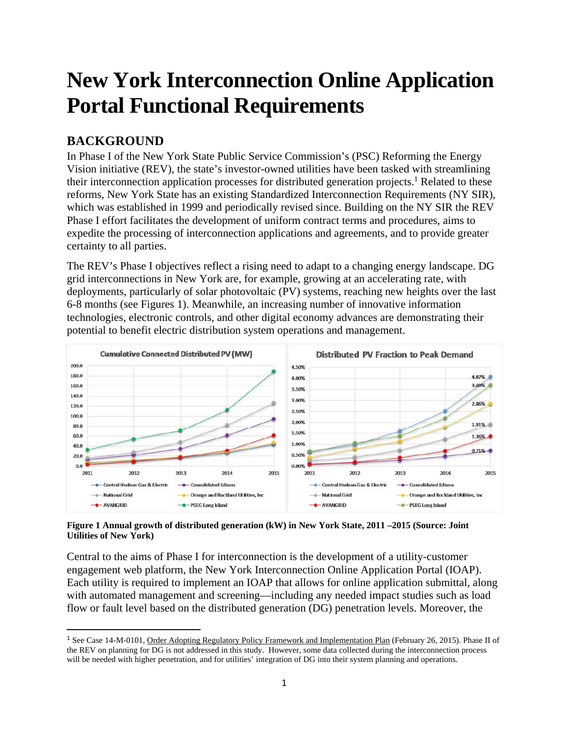# **New York Interconnection Online Application Portal Functional Requirements**

# **BACKGROUND**

In Phase I of the New York State Public Service Commission's (PSC) Reforming the Energy Vision initiative (REV), the state's investor-owned utilities have been tasked with streamlining their interconnection application processes for distributed generation projects.<sup>1</sup> Related to these reforms, New York State has an existing Standardized Interconnection Requirements (NY SIR), which was established in 1999 and periodically revised since. Building on the NY SIR the REV Phase I effort facilitates the development of uniform contract terms and procedures, aims to expedite the processing of interconnection applications and agreements, and to provide greater certainty to all parties.

The REV's Phase I objectives reflect a rising need to adapt to a changing energy landscape. DG grid interconnections in New York are, for example, growing at an accelerating rate, with deployments, particularly of solar photovoltaic (PV) systems, reaching new heights over the last 6-8 months (see Figures 1). Meanwhile, an increasing number of innovative information technologies, electronic controls, and other digital economy advances are demonstrating their potential to benefit electric distribution system operations and management.



**Figure 1 Annual growth of distributed generation (kW) in New York State, 2011 –2015 (Source: Joint Utilities of New York)** 

Central to the aims of Phase I for interconnection is the development of a utility-customer engagement web platform, the New York Interconnection Online Application Portal (IOAP). Each utility is required to implement an IOAP that allows for online application submittal, along with automated management and screening—including any needed impact studies such as load flow or fault level based on the distributed generation (DG) penetration levels. Moreover, the

<sup>&</sup>lt;sup>1</sup> See Case 14-M-0101, Order Adopting Regulatory Policy Framework and Implementation Plan (February 26, 2015). Phase II of the REV on planning for DG is not addressed in this study. However, some data collected during the interconnection process will be needed with higher penetration, and for utilities' integration of DG into their system planning and operations.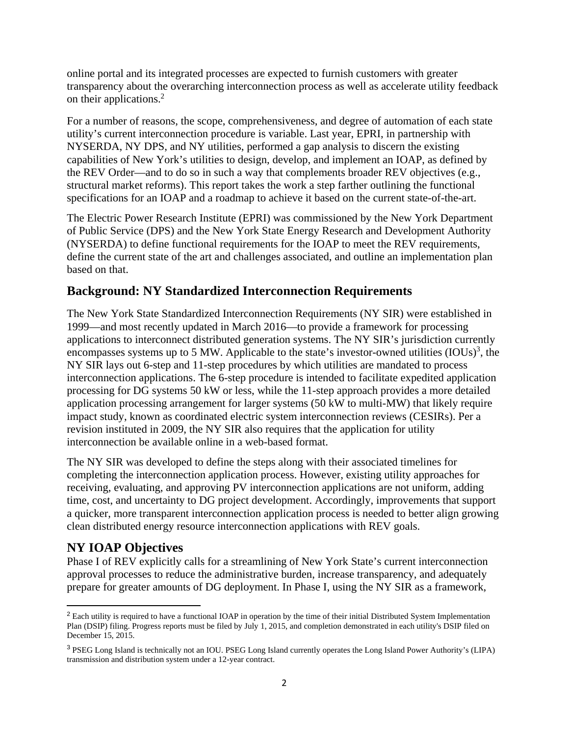online portal and its integrated processes are expected to furnish customers with greater transparency about the overarching interconnection process as well as accelerate utility feedback on their applications.<sup>2</sup>

For a number of reasons, the scope, comprehensiveness, and degree of automation of each state utility's current interconnection procedure is variable. Last year, EPRI, in partnership with NYSERDA, NY DPS, and NY utilities, performed a gap analysis to discern the existing capabilities of New York's utilities to design, develop, and implement an IOAP, as defined by the REV Order—and to do so in such a way that complements broader REV objectives (e.g., structural market reforms). This report takes the work a step farther outlining the functional specifications for an IOAP and a roadmap to achieve it based on the current state-of-the-art.

The Electric Power Research Institute (EPRI) was commissioned by the New York Department of Public Service (DPS) and the New York State Energy Research and Development Authority (NYSERDA) to define functional requirements for the IOAP to meet the REV requirements, define the current state of the art and challenges associated, and outline an implementation plan based on that.

#### **Background: NY Standardized Interconnection Requirements**

The New York State Standardized Interconnection Requirements (NY SIR) were established in 1999—and most recently updated in March 2016—to provide a framework for processing applications to interconnect distributed generation systems. The NY SIR's jurisdiction currently encompasses systems up to 5 MW. Applicable to the state's investor-owned utilities  $(IOUs)^3$ , the NY SIR lays out 6-step and 11-step procedures by which utilities are mandated to process interconnection applications. The 6-step procedure is intended to facilitate expedited application processing for DG systems 50 kW or less, while the 11-step approach provides a more detailed application processing arrangement for larger systems (50 kW to multi-MW) that likely require impact study, known as coordinated electric system interconnection reviews (CESIRs). Per a revision instituted in 2009, the NY SIR also requires that the application for utility interconnection be available online in a web-based format.

The NY SIR was developed to define the steps along with their associated timelines for completing the interconnection application process. However, existing utility approaches for receiving, evaluating, and approving PV interconnection applications are not uniform, adding time, cost, and uncertainty to DG project development. Accordingly, improvements that support a quicker, more transparent interconnection application process is needed to better align growing clean distributed energy resource interconnection applications with REV goals.

#### **NY IOAP Objectives**

Phase I of REV explicitly calls for a streamlining of New York State's current interconnection approval processes to reduce the administrative burden, increase transparency, and adequately prepare for greater amounts of DG deployment. In Phase I, using the NY SIR as a framework,

<sup>&</sup>lt;sup>2</sup> Each utility is required to have a functional IOAP in operation by the time of their initial Distributed System Implementation Plan (DSIP) filing. Progress reports must be filed by July 1, 2015, and completion demonstrated in each utility's DSIP filed on December 15, 2015.

<sup>3</sup> PSEG Long Island is technically not an IOU. PSEG Long Island currently operates the Long Island Power Authority's (LIPA) transmission and distribution system under a 12-year contract.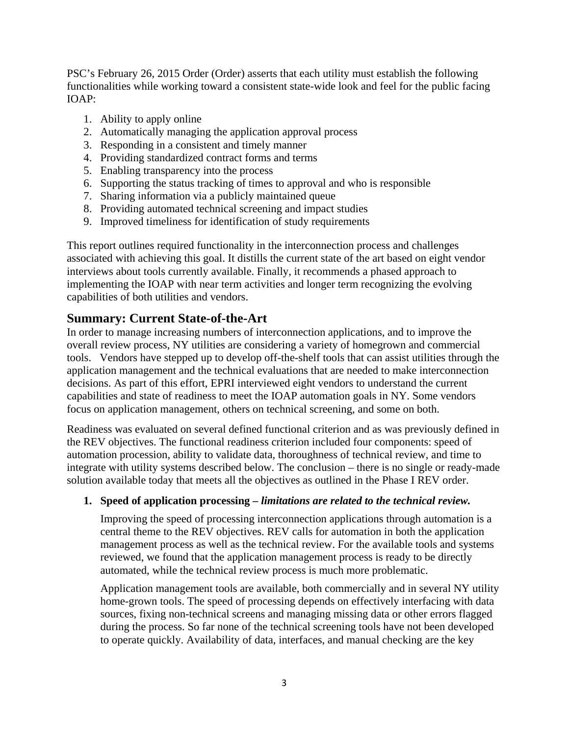PSC's February 26, 2015 Order (Order) asserts that each utility must establish the following functionalities while working toward a consistent state-wide look and feel for the public facing IOAP:

- 1. Ability to apply online
- 2. Automatically managing the application approval process
- 3. Responding in a consistent and timely manner
- 4. Providing standardized contract forms and terms
- 5. Enabling transparency into the process
- 6. Supporting the status tracking of times to approval and who is responsible
- 7. Sharing information via a publicly maintained queue
- 8. Providing automated technical screening and impact studies
- 9. Improved timeliness for identification of study requirements

This report outlines required functionality in the interconnection process and challenges associated with achieving this goal. It distills the current state of the art based on eight vendor interviews about tools currently available. Finally, it recommends a phased approach to implementing the IOAP with near term activities and longer term recognizing the evolving capabilities of both utilities and vendors.

#### **Summary: Current State-of-the-Art**

In order to manage increasing numbers of interconnection applications, and to improve the overall review process, NY utilities are considering a variety of homegrown and commercial tools. Vendors have stepped up to develop off-the-shelf tools that can assist utilities through the application management and the technical evaluations that are needed to make interconnection decisions. As part of this effort, EPRI interviewed eight vendors to understand the current capabilities and state of readiness to meet the IOAP automation goals in NY. Some vendors focus on application management, others on technical screening, and some on both.

Readiness was evaluated on several defined functional criterion and as was previously defined in the REV objectives. The functional readiness criterion included four components: speed of automation procession, ability to validate data, thoroughness of technical review, and time to integrate with utility systems described below. The conclusion – there is no single or ready-made solution available today that meets all the objectives as outlined in the Phase I REV order.

#### **1. Speed of application processing –** *limitations are related to the technical review.*

Improving the speed of processing interconnection applications through automation is a central theme to the REV objectives. REV calls for automation in both the application management process as well as the technical review. For the available tools and systems reviewed, we found that the application management process is ready to be directly automated, while the technical review process is much more problematic.

Application management tools are available, both commercially and in several NY utility home-grown tools. The speed of processing depends on effectively interfacing with data sources, fixing non-technical screens and managing missing data or other errors flagged during the process. So far none of the technical screening tools have not been developed to operate quickly. Availability of data, interfaces, and manual checking are the key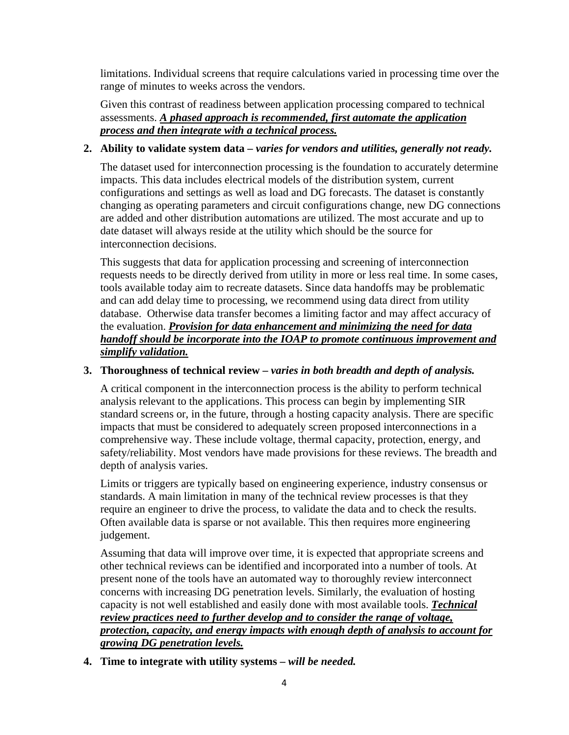limitations. Individual screens that require calculations varied in processing time over the range of minutes to weeks across the vendors.

Given this contrast of readiness between application processing compared to technical assessments. *A phased approach is recommended, first automate the application process and then integrate with a technical process.*

#### **2. Ability to validate system data –** *varies for vendors and utilities, generally not ready.*

The dataset used for interconnection processing is the foundation to accurately determine impacts. This data includes electrical models of the distribution system, current configurations and settings as well as load and DG forecasts. The dataset is constantly changing as operating parameters and circuit configurations change, new DG connections are added and other distribution automations are utilized. The most accurate and up to date dataset will always reside at the utility which should be the source for interconnection decisions.

This suggests that data for application processing and screening of interconnection requests needs to be directly derived from utility in more or less real time. In some cases, tools available today aim to recreate datasets. Since data handoffs may be problematic and can add delay time to processing, we recommend using data direct from utility database. Otherwise data transfer becomes a limiting factor and may affect accuracy of the evaluation. *Provision for data enhancement and minimizing the need for data handoff should be incorporate into the IOAP to promote continuous improvement and simplify validation.* 

#### **3. Thoroughness of technical review –** *varies in both breadth and depth of analysis.*

A critical component in the interconnection process is the ability to perform technical analysis relevant to the applications. This process can begin by implementing SIR standard screens or, in the future, through a hosting capacity analysis. There are specific impacts that must be considered to adequately screen proposed interconnections in a comprehensive way. These include voltage, thermal capacity, protection, energy, and safety/reliability. Most vendors have made provisions for these reviews. The breadth and depth of analysis varies.

Limits or triggers are typically based on engineering experience, industry consensus or standards. A main limitation in many of the technical review processes is that they require an engineer to drive the process, to validate the data and to check the results. Often available data is sparse or not available. This then requires more engineering judgement.

Assuming that data will improve over time, it is expected that appropriate screens and other technical reviews can be identified and incorporated into a number of tools. At present none of the tools have an automated way to thoroughly review interconnect concerns with increasing DG penetration levels. Similarly, the evaluation of hosting capacity is not well established and easily done with most available tools. *Technical review practices need to further develop and to consider the range of voltage, protection, capacity, and energy impacts with enough depth of analysis to account for growing DG penetration levels.* 

**4. Time to integrate with utility systems –** *will be needed.*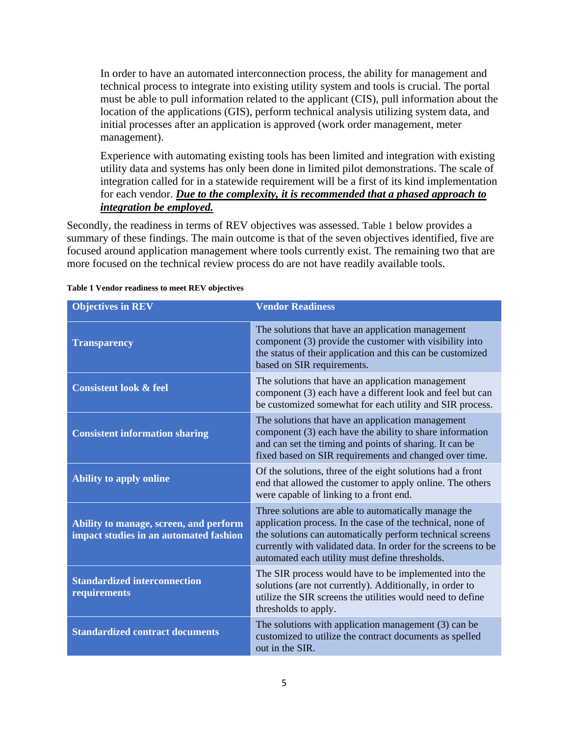In order to have an automated interconnection process, the ability for management and technical process to integrate into existing utility system and tools is crucial. The portal must be able to pull information related to the applicant (CIS), pull information about the location of the applications (GIS), perform technical analysis utilizing system data, and initial processes after an application is approved (work order management, meter management).

Experience with automating existing tools has been limited and integration with existing utility data and systems has only been done in limited pilot demonstrations. The scale of integration called for in a statewide requirement will be a first of its kind implementation for each vendor. *Due to the complexity, it is recommended that a phased approach to integration be employed.*

Secondly, the readiness in terms of REV objectives was assessed. Table 1 below provides a summary of these findings. The main outcome is that of the seven objectives identified, five are focused around application management where tools currently exist. The remaining two that are more focused on the technical review process do are not have readily available tools.

| <b>Objectives in REV</b>                                                         | <b>Vendor Readiness</b>                                                                                                                                                                                                                                                                            |
|----------------------------------------------------------------------------------|----------------------------------------------------------------------------------------------------------------------------------------------------------------------------------------------------------------------------------------------------------------------------------------------------|
| <b>Transparency</b>                                                              | The solutions that have an application management<br>component (3) provide the customer with visibility into<br>the status of their application and this can be customized<br>based on SIR requirements.                                                                                           |
| <b>Consistent look &amp; feel</b>                                                | The solutions that have an application management<br>component (3) each have a different look and feel but can<br>be customized somewhat for each utility and SIR process.                                                                                                                         |
| <b>Consistent information sharing</b>                                            | The solutions that have an application management<br>component (3) each have the ability to share information<br>and can set the timing and points of sharing. It can be<br>fixed based on SIR requirements and changed over time.                                                                 |
| <b>Ability to apply online</b>                                                   | Of the solutions, three of the eight solutions had a front<br>end that allowed the customer to apply online. The others<br>were capable of linking to a front end.                                                                                                                                 |
| Ability to manage, screen, and perform<br>impact studies in an automated fashion | Three solutions are able to automatically manage the<br>application process. In the case of the technical, none of<br>the solutions can automatically perform technical screens<br>currently with validated data. In order for the screens to be<br>automated each utility must define thresholds. |
| <b>Standardized interconnection</b><br>requirements                              | The SIR process would have to be implemented into the<br>solutions (are not currently). Additionally, in order to<br>utilize the SIR screens the utilities would need to define<br>thresholds to apply.                                                                                            |
| <b>Standardized contract documents</b>                                           | The solutions with application management $(3)$ can be<br>customized to utilize the contract documents as spelled<br>out in the SIR.                                                                                                                                                               |

#### **Table 1 Vendor readiness to meet REV objectives**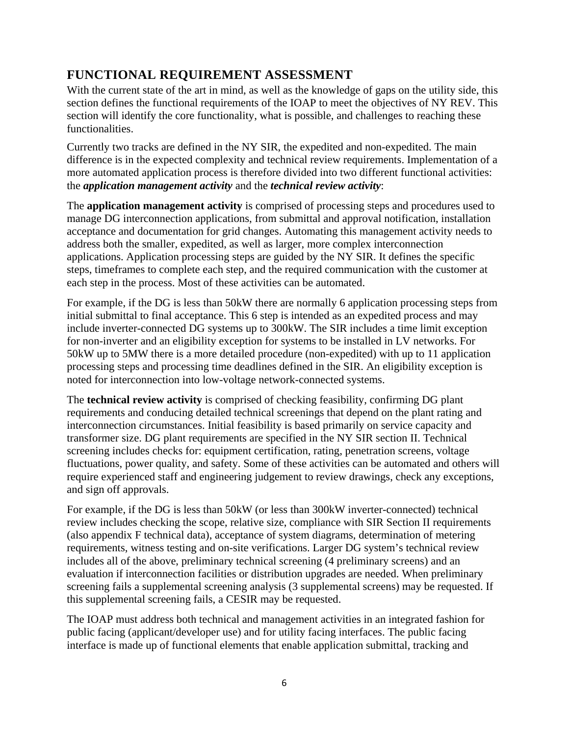# **FUNCTIONAL REQUIREMENT ASSESSMENT**

With the current state of the art in mind, as well as the knowledge of gaps on the utility side, this section defines the functional requirements of the IOAP to meet the objectives of NY REV. This section will identify the core functionality, what is possible, and challenges to reaching these functionalities.

Currently two tracks are defined in the NY SIR, the expedited and non-expedited. The main difference is in the expected complexity and technical review requirements. Implementation of a more automated application process is therefore divided into two different functional activities: the *application management activity* and the *technical review activity*:

The **application management activity** is comprised of processing steps and procedures used to manage DG interconnection applications, from submittal and approval notification, installation acceptance and documentation for grid changes. Automating this management activity needs to address both the smaller, expedited, as well as larger, more complex interconnection applications. Application processing steps are guided by the NY SIR. It defines the specific steps, timeframes to complete each step, and the required communication with the customer at each step in the process. Most of these activities can be automated.

For example, if the DG is less than 50kW there are normally 6 application processing steps from initial submittal to final acceptance. This 6 step is intended as an expedited process and may include inverter-connected DG systems up to 300kW. The SIR includes a time limit exception for non-inverter and an eligibility exception for systems to be installed in LV networks. For 50kW up to 5MW there is a more detailed procedure (non-expedited) with up to 11 application processing steps and processing time deadlines defined in the SIR. An eligibility exception is noted for interconnection into low-voltage network-connected systems.

The **technical review activity** is comprised of checking feasibility, confirming DG plant requirements and conducing detailed technical screenings that depend on the plant rating and interconnection circumstances. Initial feasibility is based primarily on service capacity and transformer size. DG plant requirements are specified in the NY SIR section II. Technical screening includes checks for: equipment certification, rating, penetration screens, voltage fluctuations, power quality, and safety. Some of these activities can be automated and others will require experienced staff and engineering judgement to review drawings, check any exceptions, and sign off approvals.

For example, if the DG is less than 50kW (or less than 300kW inverter-connected) technical review includes checking the scope, relative size, compliance with SIR Section II requirements (also appendix F technical data), acceptance of system diagrams, determination of metering requirements, witness testing and on-site verifications. Larger DG system's technical review includes all of the above, preliminary technical screening (4 preliminary screens) and an evaluation if interconnection facilities or distribution upgrades are needed. When preliminary screening fails a supplemental screening analysis (3 supplemental screens) may be requested. If this supplemental screening fails, a CESIR may be requested.

The IOAP must address both technical and management activities in an integrated fashion for public facing (applicant/developer use) and for utility facing interfaces. The public facing interface is made up of functional elements that enable application submittal, tracking and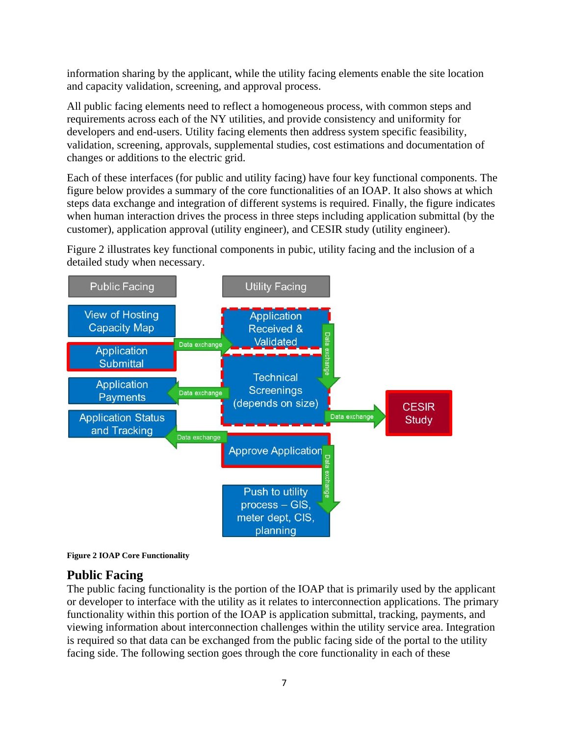information sharing by the applicant, while the utility facing elements enable the site location and capacity validation, screening, and approval process.

All public facing elements need to reflect a homogeneous process, with common steps and requirements across each of the NY utilities, and provide consistency and uniformity for developers and end-users. Utility facing elements then address system specific feasibility, validation, screening, approvals, supplemental studies, cost estimations and documentation of changes or additions to the electric grid.

Each of these interfaces (for public and utility facing) have four key functional components. The figure below provides a summary of the core functionalities of an IOAP. It also shows at which steps data exchange and integration of different systems is required. Finally, the figure indicates when human interaction drives the process in three steps including application submittal (by the customer), application approval (utility engineer), and CESIR study (utility engineer).

Figure 2 illustrates key functional components in pubic, utility facing and the inclusion of a detailed study when necessary.





#### **Public Facing**

The public facing functionality is the portion of the IOAP that is primarily used by the applicant or developer to interface with the utility as it relates to interconnection applications. The primary functionality within this portion of the IOAP is application submittal, tracking, payments, and viewing information about interconnection challenges within the utility service area. Integration is required so that data can be exchanged from the public facing side of the portal to the utility facing side. The following section goes through the core functionality in each of these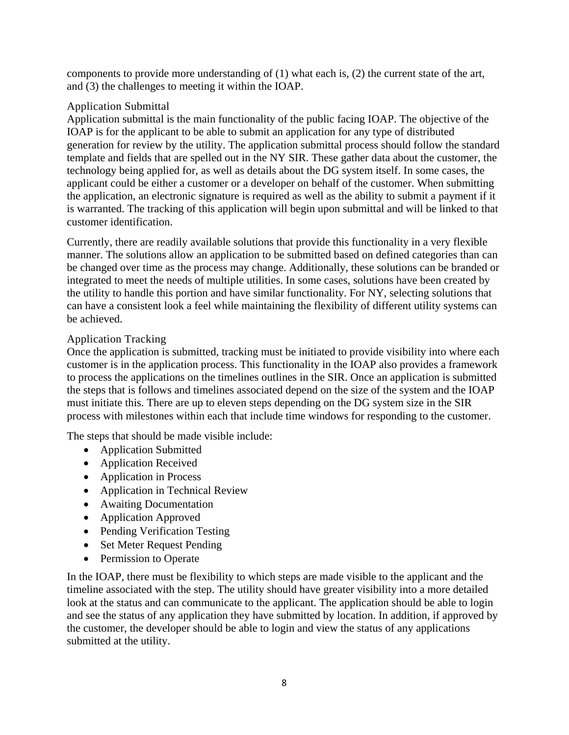components to provide more understanding of (1) what each is, (2) the current state of the art, and (3) the challenges to meeting it within the IOAP.

#### Application Submittal

Application submittal is the main functionality of the public facing IOAP. The objective of the IOAP is for the applicant to be able to submit an application for any type of distributed generation for review by the utility. The application submittal process should follow the standard template and fields that are spelled out in the NY SIR. These gather data about the customer, the technology being applied for, as well as details about the DG system itself. In some cases, the applicant could be either a customer or a developer on behalf of the customer. When submitting the application, an electronic signature is required as well as the ability to submit a payment if it is warranted. The tracking of this application will begin upon submittal and will be linked to that customer identification.

Currently, there are readily available solutions that provide this functionality in a very flexible manner. The solutions allow an application to be submitted based on defined categories than can be changed over time as the process may change. Additionally, these solutions can be branded or integrated to meet the needs of multiple utilities. In some cases, solutions have been created by the utility to handle this portion and have similar functionality. For NY, selecting solutions that can have a consistent look a feel while maintaining the flexibility of different utility systems can be achieved.

#### Application Tracking

Once the application is submitted, tracking must be initiated to provide visibility into where each customer is in the application process. This functionality in the IOAP also provides a framework to process the applications on the timelines outlines in the SIR. Once an application is submitted the steps that is follows and timelines associated depend on the size of the system and the IOAP must initiate this. There are up to eleven steps depending on the DG system size in the SIR process with milestones within each that include time windows for responding to the customer.

The steps that should be made visible include:

- Application Submitted
- Application Received
- Application in Process
- Application in Technical Review
- Awaiting Documentation
- Application Approved
- Pending Verification Testing
- Set Meter Request Pending
- Permission to Operate

In the IOAP, there must be flexibility to which steps are made visible to the applicant and the timeline associated with the step. The utility should have greater visibility into a more detailed look at the status and can communicate to the applicant. The application should be able to login and see the status of any application they have submitted by location. In addition, if approved by the customer, the developer should be able to login and view the status of any applications submitted at the utility.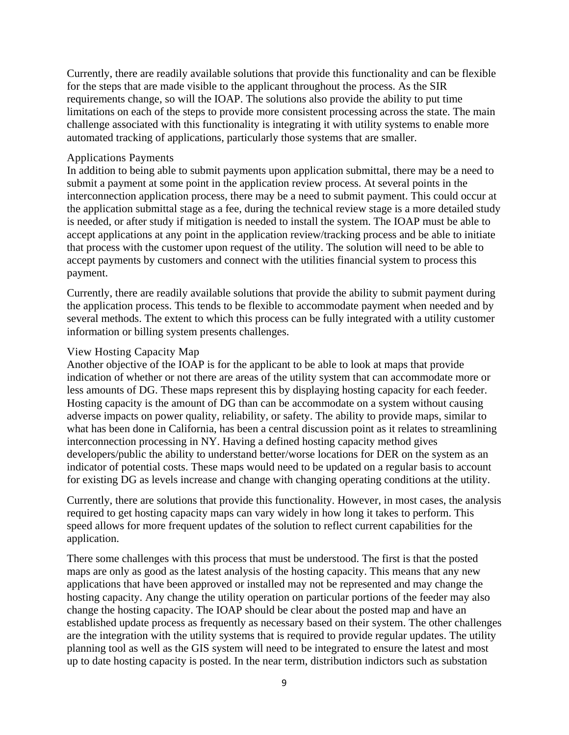Currently, there are readily available solutions that provide this functionality and can be flexible for the steps that are made visible to the applicant throughout the process. As the SIR requirements change, so will the IOAP. The solutions also provide the ability to put time limitations on each of the steps to provide more consistent processing across the state. The main challenge associated with this functionality is integrating it with utility systems to enable more automated tracking of applications, particularly those systems that are smaller.

#### Applications Payments

In addition to being able to submit payments upon application submittal, there may be a need to submit a payment at some point in the application review process. At several points in the interconnection application process, there may be a need to submit payment. This could occur at the application submittal stage as a fee, during the technical review stage is a more detailed study is needed, or after study if mitigation is needed to install the system. The IOAP must be able to accept applications at any point in the application review/tracking process and be able to initiate that process with the customer upon request of the utility. The solution will need to be able to accept payments by customers and connect with the utilities financial system to process this payment.

Currently, there are readily available solutions that provide the ability to submit payment during the application process. This tends to be flexible to accommodate payment when needed and by several methods. The extent to which this process can be fully integrated with a utility customer information or billing system presents challenges.

#### View Hosting Capacity Map

Another objective of the IOAP is for the applicant to be able to look at maps that provide indication of whether or not there are areas of the utility system that can accommodate more or less amounts of DG. These maps represent this by displaying hosting capacity for each feeder. Hosting capacity is the amount of DG than can be accommodate on a system without causing adverse impacts on power quality, reliability, or safety. The ability to provide maps, similar to what has been done in California, has been a central discussion point as it relates to streamlining interconnection processing in NY. Having a defined hosting capacity method gives developers/public the ability to understand better/worse locations for DER on the system as an indicator of potential costs. These maps would need to be updated on a regular basis to account for existing DG as levels increase and change with changing operating conditions at the utility.

Currently, there are solutions that provide this functionality. However, in most cases, the analysis required to get hosting capacity maps can vary widely in how long it takes to perform. This speed allows for more frequent updates of the solution to reflect current capabilities for the application.

There some challenges with this process that must be understood. The first is that the posted maps are only as good as the latest analysis of the hosting capacity. This means that any new applications that have been approved or installed may not be represented and may change the hosting capacity. Any change the utility operation on particular portions of the feeder may also change the hosting capacity. The IOAP should be clear about the posted map and have an established update process as frequently as necessary based on their system. The other challenges are the integration with the utility systems that is required to provide regular updates. The utility planning tool as well as the GIS system will need to be integrated to ensure the latest and most up to date hosting capacity is posted. In the near term, distribution indictors such as substation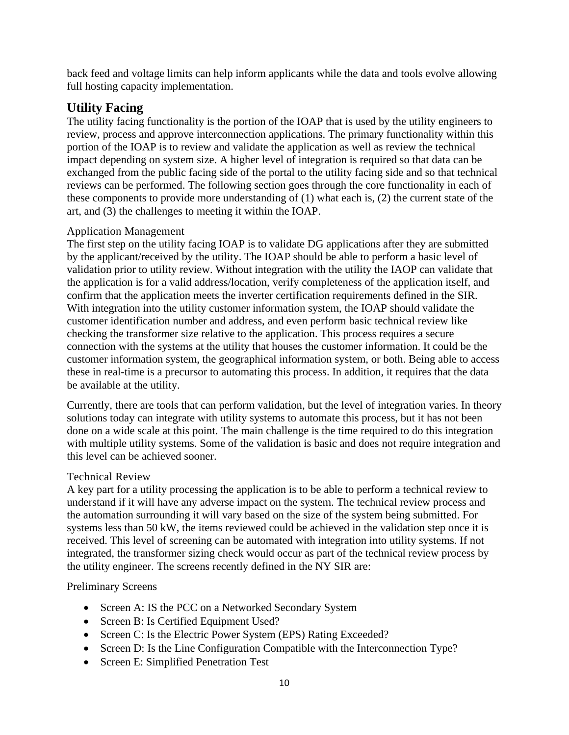back feed and voltage limits can help inform applicants while the data and tools evolve allowing full hosting capacity implementation.

#### **Utility Facing**

The utility facing functionality is the portion of the IOAP that is used by the utility engineers to review, process and approve interconnection applications. The primary functionality within this portion of the IOAP is to review and validate the application as well as review the technical impact depending on system size. A higher level of integration is required so that data can be exchanged from the public facing side of the portal to the utility facing side and so that technical reviews can be performed. The following section goes through the core functionality in each of these components to provide more understanding of (1) what each is, (2) the current state of the art, and (3) the challenges to meeting it within the IOAP.

#### Application Management

The first step on the utility facing IOAP is to validate DG applications after they are submitted by the applicant/received by the utility. The IOAP should be able to perform a basic level of validation prior to utility review. Without integration with the utility the IAOP can validate that the application is for a valid address/location, verify completeness of the application itself, and confirm that the application meets the inverter certification requirements defined in the SIR. With integration into the utility customer information system, the IOAP should validate the customer identification number and address, and even perform basic technical review like checking the transformer size relative to the application. This process requires a secure connection with the systems at the utility that houses the customer information. It could be the customer information system, the geographical information system, or both. Being able to access these in real-time is a precursor to automating this process. In addition, it requires that the data be available at the utility.

Currently, there are tools that can perform validation, but the level of integration varies. In theory solutions today can integrate with utility systems to automate this process, but it has not been done on a wide scale at this point. The main challenge is the time required to do this integration with multiple utility systems. Some of the validation is basic and does not require integration and this level can be achieved sooner.

#### Technical Review

A key part for a utility processing the application is to be able to perform a technical review to understand if it will have any adverse impact on the system. The technical review process and the automation surrounding it will vary based on the size of the system being submitted. For systems less than 50 kW, the items reviewed could be achieved in the validation step once it is received. This level of screening can be automated with integration into utility systems. If not integrated, the transformer sizing check would occur as part of the technical review process by the utility engineer. The screens recently defined in the NY SIR are:

#### Preliminary Screens

- Screen A: IS the PCC on a Networked Secondary System
- Screen B: Is Certified Equipment Used?
- Screen C: Is the Electric Power System (EPS) Rating Exceeded?
- Screen D: Is the Line Configuration Compatible with the Interconnection Type?
- Screen E: Simplified Penetration Test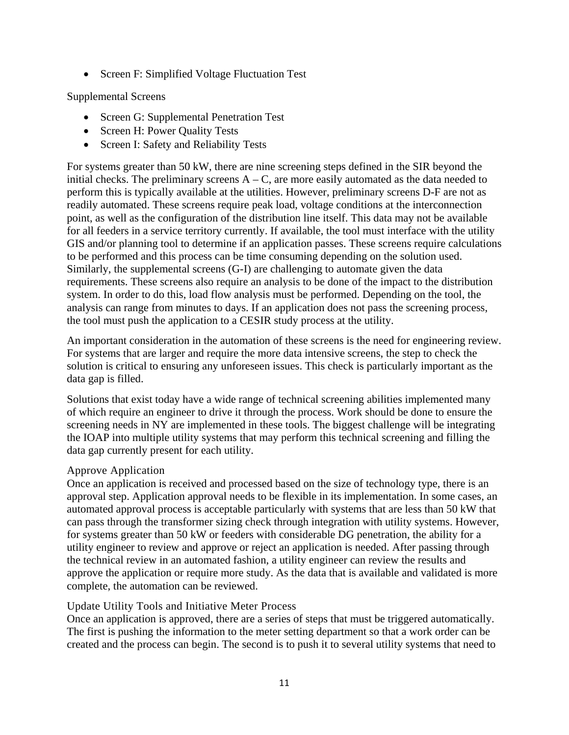• Screen F: Simplified Voltage Fluctuation Test

#### Supplemental Screens

- Screen G: Supplemental Penetration Test
- Screen H: Power Quality Tests
- Screen I: Safety and Reliability Tests

For systems greater than 50 kW, there are nine screening steps defined in the SIR beyond the initial checks. The preliminary screens  $A - C$ , are more easily automated as the data needed to perform this is typically available at the utilities. However, preliminary screens D-F are not as readily automated. These screens require peak load, voltage conditions at the interconnection point, as well as the configuration of the distribution line itself. This data may not be available for all feeders in a service territory currently. If available, the tool must interface with the utility GIS and/or planning tool to determine if an application passes. These screens require calculations to be performed and this process can be time consuming depending on the solution used. Similarly, the supplemental screens (G-I) are challenging to automate given the data requirements. These screens also require an analysis to be done of the impact to the distribution system. In order to do this, load flow analysis must be performed. Depending on the tool, the analysis can range from minutes to days. If an application does not pass the screening process, the tool must push the application to a CESIR study process at the utility.

An important consideration in the automation of these screens is the need for engineering review. For systems that are larger and require the more data intensive screens, the step to check the solution is critical to ensuring any unforeseen issues. This check is particularly important as the data gap is filled.

Solutions that exist today have a wide range of technical screening abilities implemented many of which require an engineer to drive it through the process. Work should be done to ensure the screening needs in NY are implemented in these tools. The biggest challenge will be integrating the IOAP into multiple utility systems that may perform this technical screening and filling the data gap currently present for each utility.

#### Approve Application

Once an application is received and processed based on the size of technology type, there is an approval step. Application approval needs to be flexible in its implementation. In some cases, an automated approval process is acceptable particularly with systems that are less than 50 kW that can pass through the transformer sizing check through integration with utility systems. However, for systems greater than 50 kW or feeders with considerable DG penetration, the ability for a utility engineer to review and approve or reject an application is needed. After passing through the technical review in an automated fashion, a utility engineer can review the results and approve the application or require more study. As the data that is available and validated is more complete, the automation can be reviewed.

#### Update Utility Tools and Initiative Meter Process

Once an application is approved, there are a series of steps that must be triggered automatically. The first is pushing the information to the meter setting department so that a work order can be created and the process can begin. The second is to push it to several utility systems that need to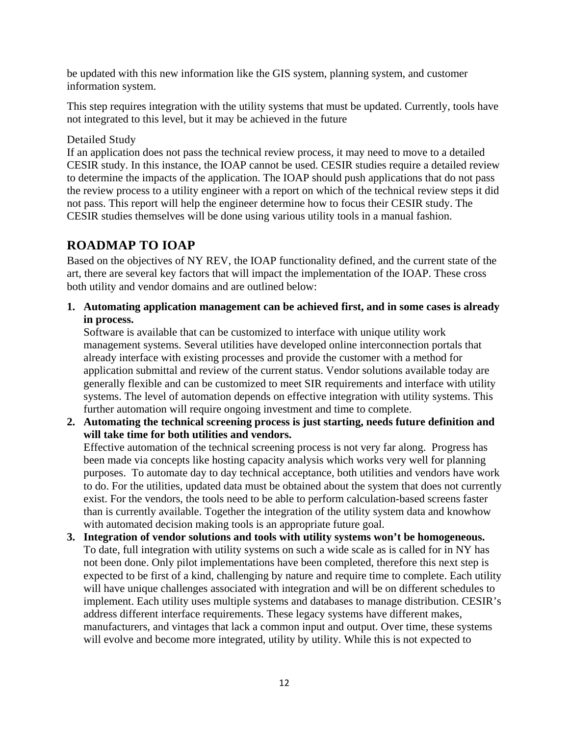be updated with this new information like the GIS system, planning system, and customer information system.

This step requires integration with the utility systems that must be updated. Currently, tools have not integrated to this level, but it may be achieved in the future

#### Detailed Study

If an application does not pass the technical review process, it may need to move to a detailed CESIR study. In this instance, the IOAP cannot be used. CESIR studies require a detailed review to determine the impacts of the application. The IOAP should push applications that do not pass the review process to a utility engineer with a report on which of the technical review steps it did not pass. This report will help the engineer determine how to focus their CESIR study. The CESIR studies themselves will be done using various utility tools in a manual fashion.

## **ROADMAP TO IOAP**

Based on the objectives of NY REV, the IOAP functionality defined, and the current state of the art, there are several key factors that will impact the implementation of the IOAP. These cross both utility and vendor domains and are outlined below:

**1. Automating application management can be achieved first, and in some cases is already in process.** 

Software is available that can be customized to interface with unique utility work management systems. Several utilities have developed online interconnection portals that already interface with existing processes and provide the customer with a method for application submittal and review of the current status. Vendor solutions available today are generally flexible and can be customized to meet SIR requirements and interface with utility systems. The level of automation depends on effective integration with utility systems. This further automation will require ongoing investment and time to complete.

**2. Automating the technical screening process is just starting, needs future definition and will take time for both utilities and vendors.** 

Effective automation of the technical screening process is not very far along. Progress has been made via concepts like hosting capacity analysis which works very well for planning purposes. To automate day to day technical acceptance, both utilities and vendors have work to do. For the utilities, updated data must be obtained about the system that does not currently exist. For the vendors, the tools need to be able to perform calculation-based screens faster than is currently available. Together the integration of the utility system data and knowhow with automated decision making tools is an appropriate future goal.

**3. Integration of vendor solutions and tools with utility systems won't be homogeneous.**  To date, full integration with utility systems on such a wide scale as is called for in NY has not been done. Only pilot implementations have been completed, therefore this next step is expected to be first of a kind, challenging by nature and require time to complete. Each utility will have unique challenges associated with integration and will be on different schedules to implement. Each utility uses multiple systems and databases to manage distribution. CESIR's address different interface requirements. These legacy systems have different makes, manufacturers, and vintages that lack a common input and output. Over time, these systems will evolve and become more integrated, utility by utility. While this is not expected to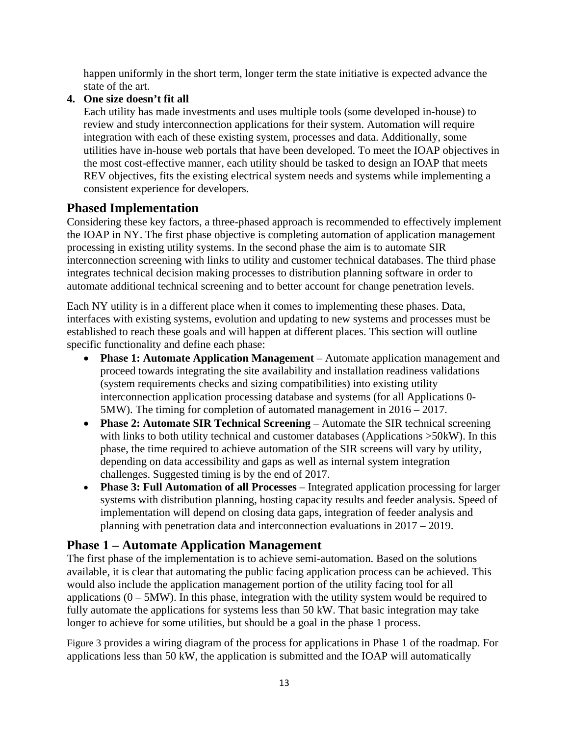happen uniformly in the short term, longer term the state initiative is expected advance the state of the art.

#### **4. One size doesn't fit all**

Each utility has made investments and uses multiple tools (some developed in-house) to review and study interconnection applications for their system. Automation will require integration with each of these existing system, processes and data. Additionally, some utilities have in-house web portals that have been developed. To meet the IOAP objectives in the most cost-effective manner, each utility should be tasked to design an IOAP that meets REV objectives, fits the existing electrical system needs and systems while implementing a consistent experience for developers.

#### **Phased Implementation**

Considering these key factors, a three-phased approach is recommended to effectively implement the IOAP in NY. The first phase objective is completing automation of application management processing in existing utility systems. In the second phase the aim is to automate SIR interconnection screening with links to utility and customer technical databases. The third phase integrates technical decision making processes to distribution planning software in order to automate additional technical screening and to better account for change penetration levels.

Each NY utility is in a different place when it comes to implementing these phases. Data, interfaces with existing systems, evolution and updating to new systems and processes must be established to reach these goals and will happen at different places. This section will outline specific functionality and define each phase:

- **Phase 1: Automate Application Management**  Automate application management and proceed towards integrating the site availability and installation readiness validations (system requirements checks and sizing compatibilities) into existing utility interconnection application processing database and systems (for all Applications 0- 5MW). The timing for completion of automated management in 2016 – 2017.
- **Phase 2: Automate SIR Technical Screening**  Automate the SIR technical screening with links to both utility technical and customer databases (Applications >50kW). In this phase, the time required to achieve automation of the SIR screens will vary by utility, depending on data accessibility and gaps as well as internal system integration challenges. Suggested timing is by the end of 2017.
- **Phase 3: Full Automation of all Processes** Integrated application processing for larger systems with distribution planning, hosting capacity results and feeder analysis. Speed of implementation will depend on closing data gaps, integration of feeder analysis and planning with penetration data and interconnection evaluations in 2017 – 2019.

#### **Phase 1 – Automate Application Management**

The first phase of the implementation is to achieve semi-automation. Based on the solutions available, it is clear that automating the public facing application process can be achieved. This would also include the application management portion of the utility facing tool for all applications  $(0 - 5MW)$ . In this phase, integration with the utility system would be required to fully automate the applications for systems less than 50 kW. That basic integration may take longer to achieve for some utilities, but should be a goal in the phase 1 process.

Figure 3 provides a wiring diagram of the process for applications in Phase 1 of the roadmap. For applications less than 50 kW, the application is submitted and the IOAP will automatically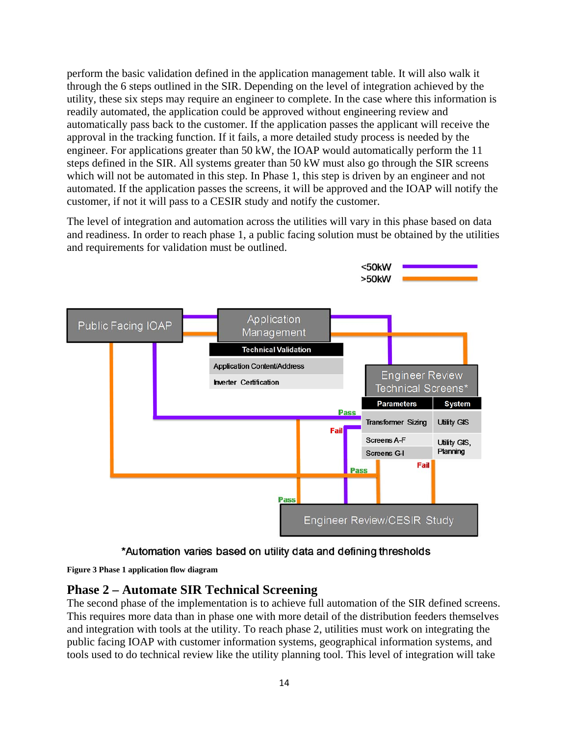perform the basic validation defined in the application management table. It will also walk it through the 6 steps outlined in the SIR. Depending on the level of integration achieved by the utility, these six steps may require an engineer to complete. In the case where this information is readily automated, the application could be approved without engineering review and automatically pass back to the customer. If the application passes the applicant will receive the approval in the tracking function. If it fails, a more detailed study process is needed by the engineer. For applications greater than 50 kW, the IOAP would automatically perform the 11 steps defined in the SIR. All systems greater than 50 kW must also go through the SIR screens which will not be automated in this step. In Phase 1, this step is driven by an engineer and not automated. If the application passes the screens, it will be approved and the IOAP will notify the customer, if not it will pass to a CESIR study and notify the customer.

The level of integration and automation across the utilities will vary in this phase based on data and readiness. In order to reach phase 1, a public facing solution must be obtained by the utilities and requirements for validation must be outlined.



\*Automation varies based on utility data and defining thresholds

**Figure 3 Phase 1 application flow diagram**

#### **Phase 2 – Automate SIR Technical Screening**

The second phase of the implementation is to achieve full automation of the SIR defined screens. This requires more data than in phase one with more detail of the distribution feeders themselves and integration with tools at the utility. To reach phase 2, utilities must work on integrating the public facing IOAP with customer information systems, geographical information systems, and tools used to do technical review like the utility planning tool. This level of integration will take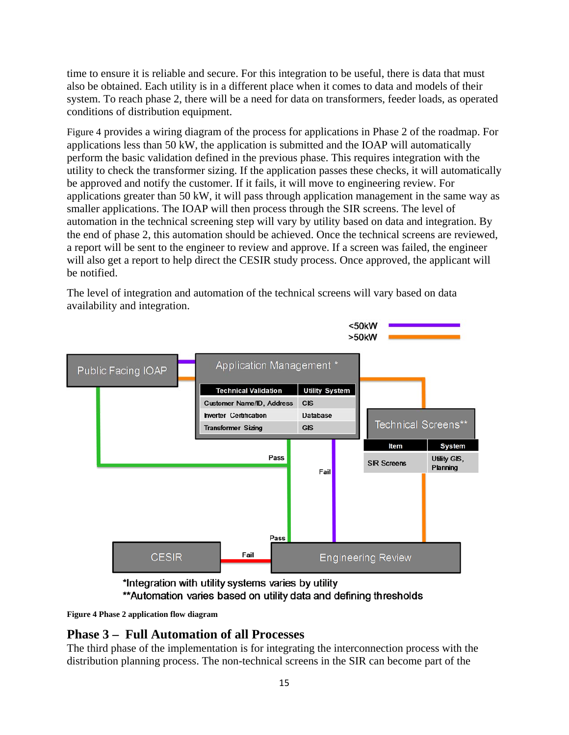time to ensure it is reliable and secure. For this integration to be useful, there is data that must also be obtained. Each utility is in a different place when it comes to data and models of their system. To reach phase 2, there will be a need for data on transformers, feeder loads, as operated conditions of distribution equipment.

Figure 4 provides a wiring diagram of the process for applications in Phase 2 of the roadmap. For applications less than 50 kW, the application is submitted and the IOAP will automatically perform the basic validation defined in the previous phase. This requires integration with the utility to check the transformer sizing. If the application passes these checks, it will automatically be approved and notify the customer. If it fails, it will move to engineering review. For applications greater than 50 kW, it will pass through application management in the same way as smaller applications. The IOAP will then process through the SIR screens. The level of automation in the technical screening step will vary by utility based on data and integration. By the end of phase 2, this automation should be achieved. Once the technical screens are reviewed, a report will be sent to the engineer to review and approve. If a screen was failed, the engineer will also get a report to help direct the CESIR study process. Once approved, the applicant will be notified.

The level of integration and automation of the technical screens will vary based on data availability and integration.





**Figure 4 Phase 2 application flow diagram**

#### **Phase 3 – Full Automation of all Processes**

The third phase of the implementation is for integrating the interconnection process with the distribution planning process. The non-technical screens in the SIR can become part of the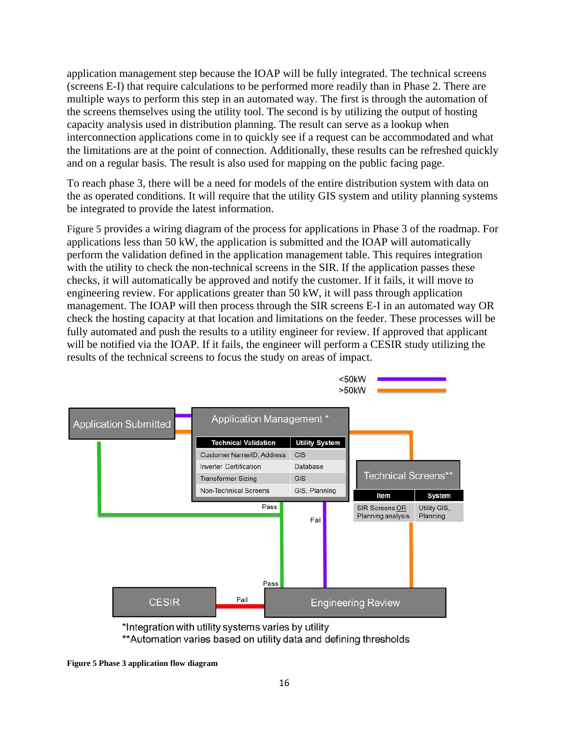application management step because the IOAP will be fully integrated. The technical screens (screens E-I) that require calculations to be performed more readily than in Phase 2. There are multiple ways to perform this step in an automated way. The first is through the automation of the screens themselves using the utility tool. The second is by utilizing the output of hosting capacity analysis used in distribution planning. The result can serve as a lookup when interconnection applications come in to quickly see if a request can be accommodated and what the limitations are at the point of connection. Additionally, these results can be refreshed quickly and on a regular basis. The result is also used for mapping on the public facing page.

To reach phase 3, there will be a need for models of the entire distribution system with data on the as operated conditions. It will require that the utility GIS system and utility planning systems be integrated to provide the latest information.

Figure 5 provides a wiring diagram of the process for applications in Phase 3 of the roadmap. For applications less than 50 kW, the application is submitted and the IOAP will automatically perform the validation defined in the application management table. This requires integration with the utility to check the non-technical screens in the SIR. If the application passes these checks, it will automatically be approved and notify the customer. If it fails, it will move to engineering review. For applications greater than 50 kW, it will pass through application management. The IOAP will then process through the SIR screens E-I in an automated way OR check the hosting capacity at that location and limitations on the feeder. These processes will be fully automated and push the results to a utility engineer for review. If approved that applicant will be notified via the IOAP. If it fails, the engineer will perform a CESIR study utilizing the results of the technical screens to focus the study on areas of impact.



<sup>\*</sup>Integration with utility systems varies by utility

\*\* Automation varies based on utility data and defining thresholds

**Figure 5 Phase 3 application flow diagram**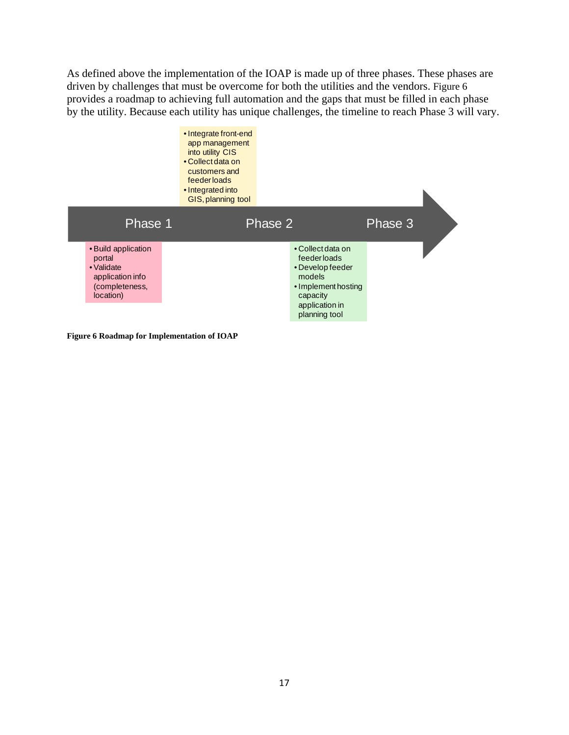As defined above the implementation of the IOAP is made up of three phases. These phases are driven by challenges that must be overcome for both the utilities and the vendors. Figure 6 provides a roadmap to achieving full automation and the gaps that must be filled in each phase by the utility. Because each utility has unique challenges, the timeline to reach Phase 3 will vary.



**Figure 6 Roadmap for Implementation of IOAP**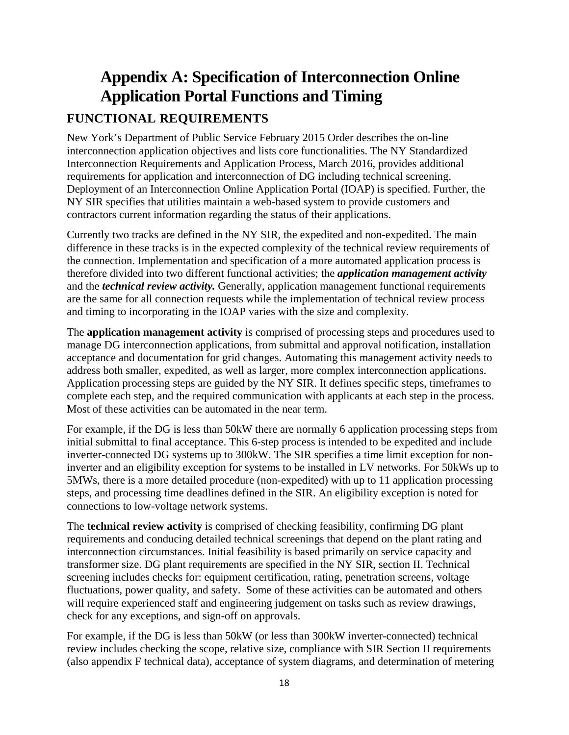# **Appendix A: Specification of Interconnection Online Application Portal Functions and Timing**

# **FUNCTIONAL REQUIREMENTS**

New York's Department of Public Service February 2015 Order describes the on-line interconnection application objectives and lists core functionalities. The NY Standardized Interconnection Requirements and Application Process, March 2016, provides additional requirements for application and interconnection of DG including technical screening. Deployment of an Interconnection Online Application Portal (IOAP) is specified. Further, the NY SIR specifies that utilities maintain a web-based system to provide customers and contractors current information regarding the status of their applications.

Currently two tracks are defined in the NY SIR, the expedited and non-expedited. The main difference in these tracks is in the expected complexity of the technical review requirements of the connection. Implementation and specification of a more automated application process is therefore divided into two different functional activities; the *application management activity* and the *technical review activity.* Generally, application management functional requirements are the same for all connection requests while the implementation of technical review process and timing to incorporating in the IOAP varies with the size and complexity.

The **application management activity** is comprised of processing steps and procedures used to manage DG interconnection applications, from submittal and approval notification, installation acceptance and documentation for grid changes. Automating this management activity needs to address both smaller, expedited, as well as larger, more complex interconnection applications. Application processing steps are guided by the NY SIR. It defines specific steps, timeframes to complete each step, and the required communication with applicants at each step in the process. Most of these activities can be automated in the near term.

For example, if the DG is less than 50kW there are normally 6 application processing steps from initial submittal to final acceptance. This 6-step process is intended to be expedited and include inverter-connected DG systems up to 300kW. The SIR specifies a time limit exception for noninverter and an eligibility exception for systems to be installed in LV networks. For 50kWs up to 5MWs, there is a more detailed procedure (non-expedited) with up to 11 application processing steps, and processing time deadlines defined in the SIR. An eligibility exception is noted for connections to low-voltage network systems.

The **technical review activity** is comprised of checking feasibility, confirming DG plant requirements and conducing detailed technical screenings that depend on the plant rating and interconnection circumstances. Initial feasibility is based primarily on service capacity and transformer size. DG plant requirements are specified in the NY SIR, section II. Technical screening includes checks for: equipment certification, rating, penetration screens, voltage fluctuations, power quality, and safety. Some of these activities can be automated and others will require experienced staff and engineering judgement on tasks such as review drawings, check for any exceptions, and sign-off on approvals.

For example, if the DG is less than 50kW (or less than 300kW inverter-connected) technical review includes checking the scope, relative size, compliance with SIR Section II requirements (also appendix F technical data), acceptance of system diagrams, and determination of metering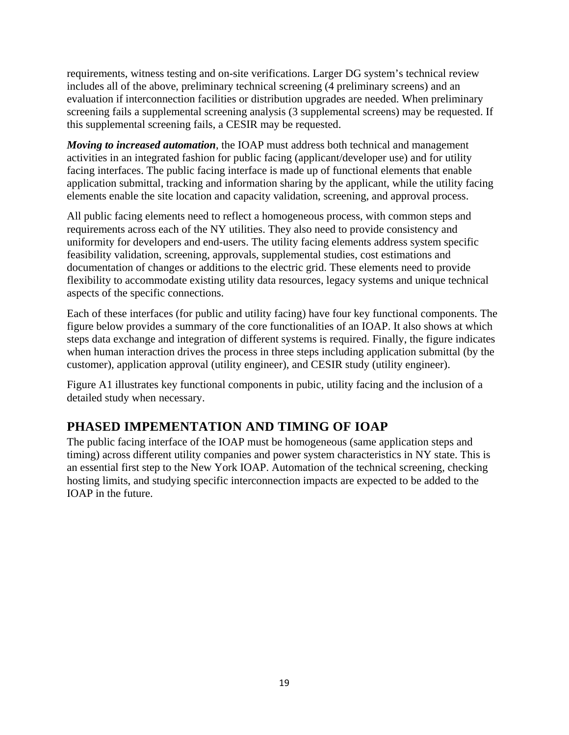requirements, witness testing and on-site verifications. Larger DG system's technical review includes all of the above, preliminary technical screening (4 preliminary screens) and an evaluation if interconnection facilities or distribution upgrades are needed. When preliminary screening fails a supplemental screening analysis (3 supplemental screens) may be requested. If this supplemental screening fails, a CESIR may be requested.

*Moving to increased automation*, the IOAP must address both technical and management activities in an integrated fashion for public facing (applicant/developer use) and for utility facing interfaces. The public facing interface is made up of functional elements that enable application submittal, tracking and information sharing by the applicant, while the utility facing elements enable the site location and capacity validation, screening, and approval process.

All public facing elements need to reflect a homogeneous process, with common steps and requirements across each of the NY utilities. They also need to provide consistency and uniformity for developers and end-users. The utility facing elements address system specific feasibility validation, screening, approvals, supplemental studies, cost estimations and documentation of changes or additions to the electric grid. These elements need to provide flexibility to accommodate existing utility data resources, legacy systems and unique technical aspects of the specific connections.

Each of these interfaces (for public and utility facing) have four key functional components. The figure below provides a summary of the core functionalities of an IOAP. It also shows at which steps data exchange and integration of different systems is required. Finally, the figure indicates when human interaction drives the process in three steps including application submittal (by the customer), application approval (utility engineer), and CESIR study (utility engineer).

Figure A1 illustrates key functional components in pubic, utility facing and the inclusion of a detailed study when necessary.

## **PHASED IMPEMENTATION AND TIMING OF IOAP**

The public facing interface of the IOAP must be homogeneous (same application steps and timing) across different utility companies and power system characteristics in NY state. This is an essential first step to the New York IOAP. Automation of the technical screening, checking hosting limits, and studying specific interconnection impacts are expected to be added to the IOAP in the future.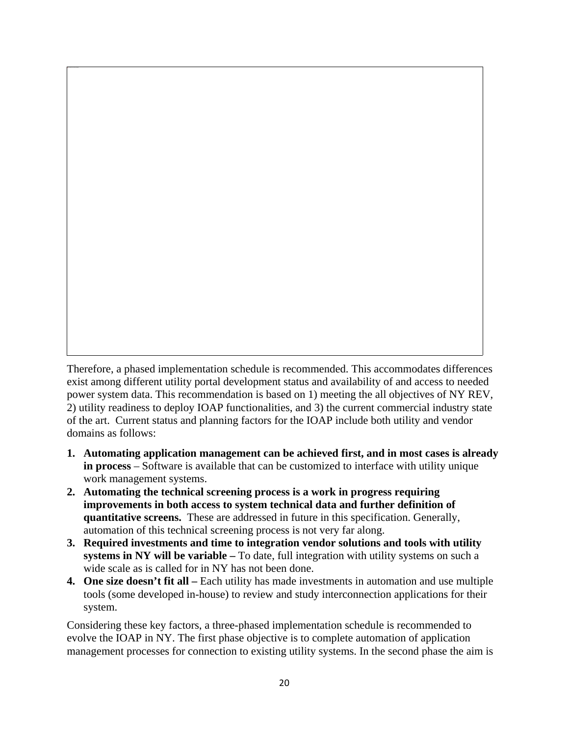Therefore, a phased implementation schedule is recommended. This accommodates differences exist among different utility portal development status and availability of and access to needed power system data. This recommendation is based on 1) meeting the all objectives of NY REV, 2) utility readiness to deploy IOAP functionalities, and 3) the current commercial industry state of the art. Current status and planning factors for the IOAP include both utility and vendor domains as follows:

- **1. Automating application management can be achieved first, and in most cases is already in process** – Software is available that can be customized to interface with utility unique work management systems.
- **2. Automating the technical screening process is a work in progress requiring improvements in both access to system technical data and further definition of quantitative screens.** These are addressed in future in this specification. Generally, automation of this technical screening process is not very far along.
- **3. Required investments and time to integration vendor solutions and tools with utility systems in NY will be variable –** To date, full integration with utility systems on such a wide scale as is called for in NY has not been done.
- **4. One size doesn't fit all** Each utility has made investments in automation and use multiple tools (some developed in-house) to review and study interconnection applications for their system.

Considering these key factors, a three-phased implementation schedule is recommended to evolve the IOAP in NY. The first phase objective is to complete automation of application management processes for connection to existing utility systems. In the second phase the aim is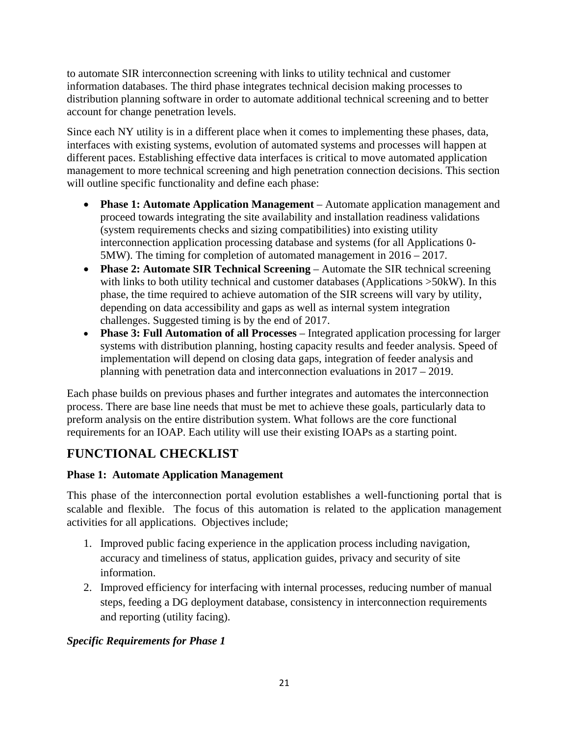to automate SIR interconnection screening with links to utility technical and customer information databases. The third phase integrates technical decision making processes to distribution planning software in order to automate additional technical screening and to better account for change penetration levels.

Since each NY utility is in a different place when it comes to implementing these phases, data, interfaces with existing systems, evolution of automated systems and processes will happen at different paces. Establishing effective data interfaces is critical to move automated application management to more technical screening and high penetration connection decisions. This section will outline specific functionality and define each phase:

- **Phase 1: Automate Application Management**  Automate application management and proceed towards integrating the site availability and installation readiness validations (system requirements checks and sizing compatibilities) into existing utility interconnection application processing database and systems (for all Applications 0- 5MW). The timing for completion of automated management in 2016 – 2017.
- **Phase 2: Automate SIR Technical Screening**  Automate the SIR technical screening with links to both utility technical and customer databases (Applications  $>50$ kW). In this phase, the time required to achieve automation of the SIR screens will vary by utility, depending on data accessibility and gaps as well as internal system integration challenges. Suggested timing is by the end of 2017.
- **Phase 3: Full Automation of all Processes** Integrated application processing for larger systems with distribution planning, hosting capacity results and feeder analysis. Speed of implementation will depend on closing data gaps, integration of feeder analysis and planning with penetration data and interconnection evaluations in 2017 – 2019.

Each phase builds on previous phases and further integrates and automates the interconnection process. There are base line needs that must be met to achieve these goals, particularly data to preform analysis on the entire distribution system. What follows are the core functional requirements for an IOAP. Each utility will use their existing IOAPs as a starting point.

# **FUNCTIONAL CHECKLIST**

#### **Phase 1: Automate Application Management**

This phase of the interconnection portal evolution establishes a well-functioning portal that is scalable and flexible. The focus of this automation is related to the application management activities for all applications. Objectives include;

- 1. Improved public facing experience in the application process including navigation, accuracy and timeliness of status, application guides, privacy and security of site information.
- 2. Improved efficiency for interfacing with internal processes, reducing number of manual steps, feeding a DG deployment database, consistency in interconnection requirements and reporting (utility facing).

#### *Specific Requirements for Phase 1*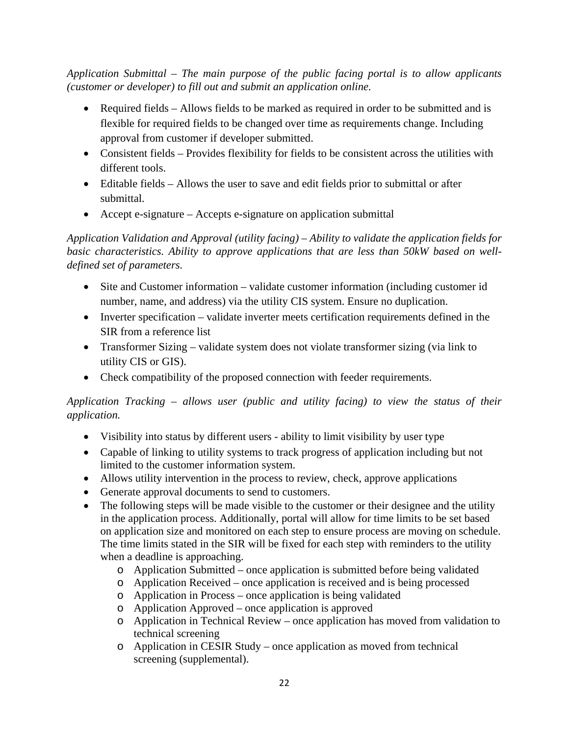*Application Submittal – The main purpose of the public facing portal is to allow applicants (customer or developer) to fill out and submit an application online.* 

- Required fields Allows fields to be marked as required in order to be submitted and is flexible for required fields to be changed over time as requirements change. Including approval from customer if developer submitted.
- Consistent fields Provides flexibility for fields to be consistent across the utilities with different tools.
- Editable fields Allows the user to save and edit fields prior to submittal or after submittal.
- Accept e-signature Accepts e-signature on application submittal

*Application Validation and Approval (utility facing) – Ability to validate the application fields for basic characteristics. Ability to approve applications that are less than 50kW based on welldefined set of parameters.* 

- Site and Customer information validate customer information (including customer id number, name, and address) via the utility CIS system. Ensure no duplication.
- Inverter specification validate inverter meets certification requirements defined in the SIR from a reference list
- Transformer Sizing validate system does not violate transformer sizing (via link to utility CIS or GIS).
- Check compatibility of the proposed connection with feeder requirements.

#### *Application Tracking – allows user (public and utility facing) to view the status of their application.*

- Visibility into status by different users ability to limit visibility by user type
- Capable of linking to utility systems to track progress of application including but not limited to the customer information system.
- Allows utility intervention in the process to review, check, approve applications
- Generate approval documents to send to customers.
- The following steps will be made visible to the customer or their designee and the utility in the application process. Additionally, portal will allow for time limits to be set based on application size and monitored on each step to ensure process are moving on schedule. The time limits stated in the SIR will be fixed for each step with reminders to the utility when a deadline is approaching.
	- $\circ$  Application Submitted once application is submitted before being validated
	- o Application Received once application is received and is being processed
	- o Application in Process once application is being validated
	- o Application Approved once application is approved
	- o Application in Technical Review once application has moved from validation to technical screening
	- o Application in CESIR Study once application as moved from technical screening (supplemental).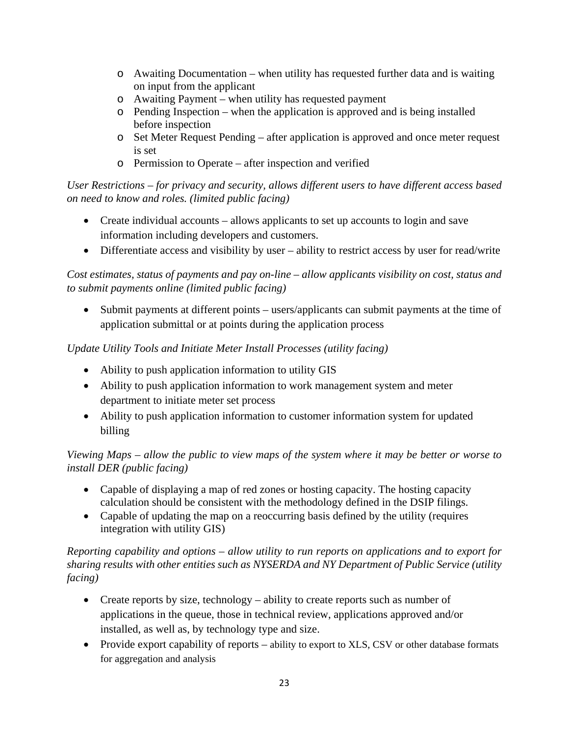- $\circ$  Awaiting Documentation when utility has requested further data and is waiting on input from the applicant
- o Awaiting Payment when utility has requested payment
- o Pending Inspection when the application is approved and is being installed before inspection
- o Set Meter Request Pending after application is approved and once meter request is set
- o Permission to Operate after inspection and verified

*User Restrictions – for privacy and security, allows different users to have different access based on need to know and roles. (limited public facing)* 

- Create individual accounts allows applicants to set up accounts to login and save information including developers and customers.
- Differentiate access and visibility by user ability to restrict access by user for read/write

*Cost estimates, status of payments and pay on-line – allow applicants visibility on cost, status and to submit payments online (limited public facing)* 

 Submit payments at different points – users/applicants can submit payments at the time of application submittal or at points during the application process

#### *Update Utility Tools and Initiate Meter Install Processes (utility facing)*

- Ability to push application information to utility GIS
- Ability to push application information to work management system and meter department to initiate meter set process
- Ability to push application information to customer information system for updated billing

*Viewing Maps – allow the public to view maps of the system where it may be better or worse to install DER (public facing)* 

- Capable of displaying a map of red zones or hosting capacity. The hosting capacity calculation should be consistent with the methodology defined in the DSIP filings.
- Capable of updating the map on a reoccurring basis defined by the utility (requires integration with utility GIS)

#### *Reporting capability and options – allow utility to run reports on applications and to export for sharing results with other entities such as NYSERDA and NY Department of Public Service (utility facing)*

- Create reports by size, technology ability to create reports such as number of applications in the queue, those in technical review, applications approved and/or installed, as well as, by technology type and size.
- Provide export capability of reports ability to export to XLS, CSV or other database formats for aggregation and analysis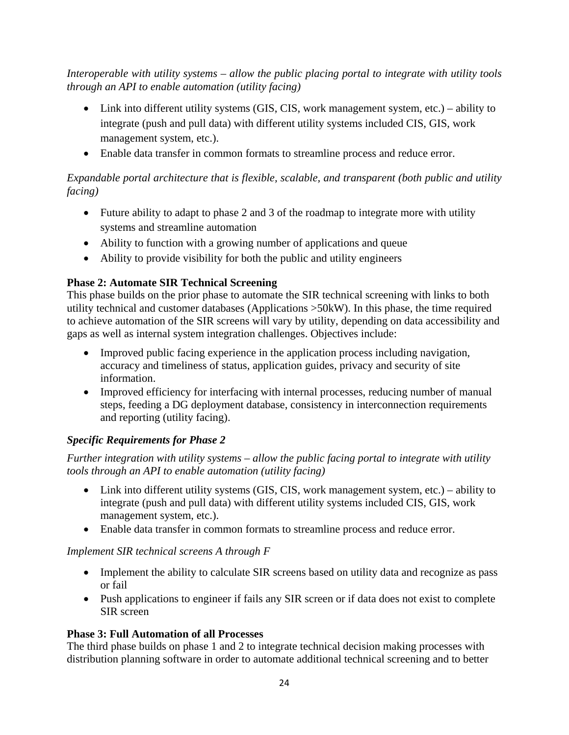*Interoperable with utility systems – allow the public placing portal to integrate with utility tools through an API to enable automation (utility facing)* 

- Link into different utility systems (GIS, CIS, work management system, etc.) ability to integrate (push and pull data) with different utility systems included CIS, GIS, work management system, etc.).
- Enable data transfer in common formats to streamline process and reduce error.

#### *Expandable portal architecture that is flexible, scalable, and transparent (both public and utility facing)*

- Future ability to adapt to phase 2 and 3 of the roadmap to integrate more with utility systems and streamline automation
- Ability to function with a growing number of applications and queue
- Ability to provide visibility for both the public and utility engineers

#### **Phase 2: Automate SIR Technical Screening**

This phase builds on the prior phase to automate the SIR technical screening with links to both utility technical and customer databases (Applications >50kW). In this phase, the time required to achieve automation of the SIR screens will vary by utility, depending on data accessibility and gaps as well as internal system integration challenges. Objectives include:

- Improved public facing experience in the application process including navigation, accuracy and timeliness of status, application guides, privacy and security of site information.
- Improved efficiency for interfacing with internal processes, reducing number of manual steps, feeding a DG deployment database, consistency in interconnection requirements and reporting (utility facing).

#### *Specific Requirements for Phase 2*

*Further integration with utility systems – allow the public facing portal to integrate with utility tools through an API to enable automation (utility facing)* 

- Link into different utility systems (GIS, CIS, work management system, etc.) ability to integrate (push and pull data) with different utility systems included CIS, GIS, work management system, etc.).
- Enable data transfer in common formats to streamline process and reduce error.

#### *Implement SIR technical screens A through F*

- Implement the ability to calculate SIR screens based on utility data and recognize as pass or fail
- Push applications to engineer if fails any SIR screen or if data does not exist to complete SIR screen

#### **Phase 3: Full Automation of all Processes**

The third phase builds on phase 1 and 2 to integrate technical decision making processes with distribution planning software in order to automate additional technical screening and to better